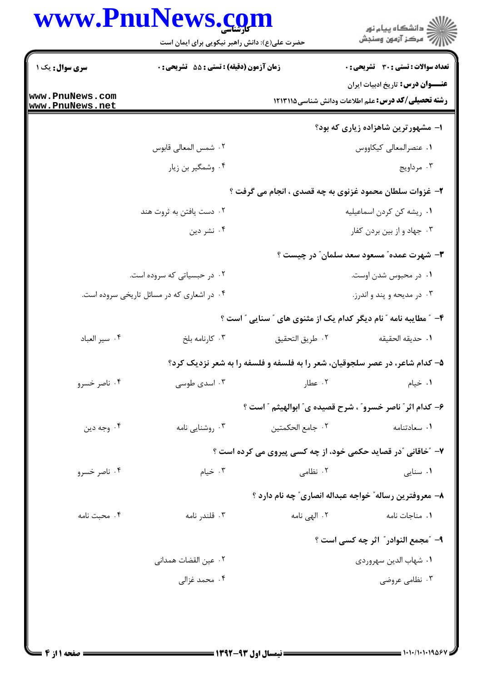|                                    | www.PnuNews.com                               |                                                                             | ِ<br>∭ دانشڪاه پيام نور<br>∭ مرڪز آزمون وسنڊش                                                         |
|------------------------------------|-----------------------------------------------|-----------------------------------------------------------------------------|-------------------------------------------------------------------------------------------------------|
|                                    | حضرت علی(ع): دانش راهبر نیکویی برای ایمان است |                                                                             |                                                                                                       |
| سری سوال: یک ۱                     | زمان آزمون (دقیقه) : تستی : 55 آتشریحی : 0    |                                                                             | <b>تعداد سوالات : تستی : 30 - تشریحی : 0</b>                                                          |
| www.PnuNews.com<br>www.PnuNews.net |                                               |                                                                             | <b>عنــــوان درس:</b> تاریخ ادبیات ایران<br><b>رشته تحصیلی/کد درس:</b> علم اطلاعات ودانش شناسی1۲۱۱۹ ( |
|                                    |                                               |                                                                             | ۱– مشهورترین شاهزاده زیاری که بود؟                                                                    |
|                                    | ٢. شمس المعالى قابوس                          |                                                                             | ٠١ عنصرالمعالى كيكاووس                                                                                |
|                                    | ۰۴ وشمگیر بن زیار                             |                                                                             | ۰۳ مرداویج                                                                                            |
|                                    |                                               | ۲- غزوات سلطان محمود غزنوی به چه قصدی ، انجام می گرفت ؟                     |                                                                                                       |
|                                    | ۰۲ دست یافتن به ثروت هند                      |                                                                             | ٠١ ريشه كن كردن اسماعيليه                                                                             |
|                                    | ۰۴ نشر دين                                    |                                                                             | ۰۳ جهاد و از بين بردن كفار                                                                            |
|                                    |                                               |                                                                             | <b>۳</b> - شهرت عمده" مسعود سعد سلمان" در چیست ؟                                                      |
|                                    | ۰۲ در حبسیاتی که سروده است.                   |                                                                             | ۰۱ در محبوس شدن اوست.                                                                                 |
|                                    | ۰۴ در اشعاری که در مسائل تاریخی سروده است.    |                                                                             | ۰۳ در مدیحه و پند و اندرز.                                                                            |
|                                    |                                               |                                                                             | ۴- ″ مطایبه نامه ″ نام دیگر کدام یک از مثنوی های ″ سنایی ″ است ؟                                      |
| ۰۴ سير العباد                      | ۰۳ کارنامه بلخ                                | ٠٢ طريق التحقيق                                                             | ٠١. حديقه الحقيقه                                                                                     |
|                                    |                                               | ۵– کدام شاعر، در عصر سلجوقیان، شعر را به فلسفه و فلسفه را به شعر نزدیک کرد؟ |                                                                                                       |
| ۰۴ ناصر خسرو                       | ۰۳ اسدی طوسی                                  | ۰۲ عطار                                                                     | ۰۱ خیام                                                                                               |
|                                    |                                               | ۶- كدام اثر ؒ ناصر خسرو ؒ ، شرح قصيده ي ؒ ابوالهيثم ؒ است ؟                 |                                                                                                       |
| ۰۴ وجه دين                         | ۰۳ روشنایی نامه                               | ٢. جامع الحكمتين                                                            | ٠١ سعادتنامه                                                                                          |
|                                    |                                               | ٧- "خاقانی "در قصاید حکمی خود، از چه کسی پیروی می کرده است ؟                |                                                                                                       |
| ۰۴ ناصر خسرو                       | ۰۳ خیام                                       | ۰۲ نظامی                                                                    | ۰۱ سنایی                                                                                              |
|                                    |                                               |                                                                             | ۸– معروفترین رساله″ خواجه عبداله انصاری″ چه نام دارد ؟                                                |
| ۰۴ محبت نامه                       | ۰۳ قلندر نامه                                 | ۰۲ الهی نامه                                                                | ۰۱ مناجات نامه                                                                                        |
|                                    |                                               |                                                                             | ۹- ″مجمع النوادر″ اثر چه کسی است ؟                                                                    |
|                                    | ۰۲ عین القضات همدانی                          |                                                                             | ٠١. شهاب الدين سهروردي                                                                                |
|                                    | ۰۴ محمد غزالی                                 |                                                                             | ۰۳ نظامی عروضی                                                                                        |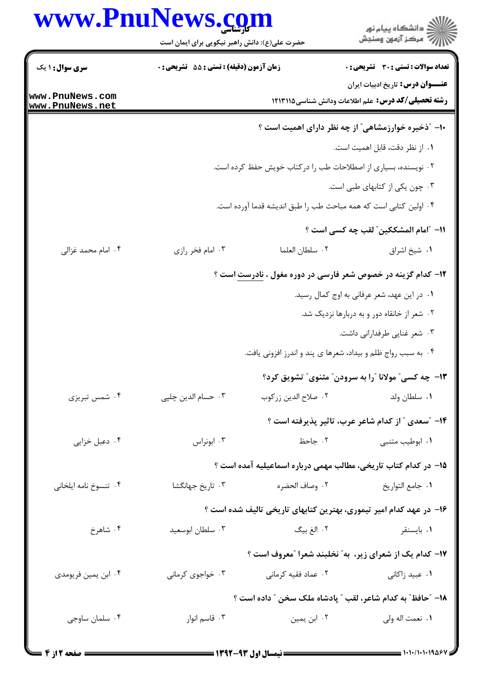|                                    | www.PnuNews.com                               |                                                                     | ڪ دانشڪاه پيا <sub>م</sub> نور<br>۾ سرڪز آزمون وسنڊش                                                  |
|------------------------------------|-----------------------------------------------|---------------------------------------------------------------------|-------------------------------------------------------------------------------------------------------|
|                                    | حضرت علی(ع): دانش راهبر نیکویی برای ایمان است |                                                                     |                                                                                                       |
| <b>سری سوال : ۱ یک</b>             | زمان آزمون (دقیقه) : تستی : 55 آتشریحی : 0    |                                                                     | <b>تعداد سوالات : تستی : 30 ٪ تشریحی : 0</b>                                                          |
| www.PnuNews.com<br>www.PnuNews.net |                                               |                                                                     | <b>عنــــوان درس:</b> تاریخ ادبیات ایران<br><b>رشته تحصیلی/کد درس:</b> علم اطلاعات ودانش شناسی1۲۱۱۹ ۱ |
|                                    |                                               | ۱۰– "ذخیره خوارزمشاهی" از چه نظر دارای اهمیت است ؟                  |                                                                                                       |
|                                    |                                               |                                                                     | ۰۱ از نظر دقت، قابل اهمیت است.                                                                        |
|                                    |                                               | ۰۲ نویسنده، بسیاری از اصطلاحات طب را درکتاب خویش حفظ کرده است.      |                                                                                                       |
|                                    |                                               |                                                                     | ۰۳ چون یکی از کتابهای طبی است.                                                                        |
|                                    |                                               | ۰۴ اولین کتابی است که همه مباحث طب را طبق اندیشه قدما آورده است.    |                                                                                                       |
|                                    |                                               |                                                                     | 11– "امام المشككين" لقب چه كسى است ؟                                                                  |
| ۰۴ امام محمد غزالی                 | ۰۳ امام فخر رازی                              | ٠٢ سلطان العلما                                                     | ٠١ شيخ اشراق                                                                                          |
|                                    |                                               | ۱۲- کدام گزینه در خصوص شعر فارسی در دوره مغول ، <u>نادرست</u> است ؟ |                                                                                                       |
|                                    |                                               |                                                                     | ۰۱ در این عهد، شعر عرفانی به اوج کمال رسید.                                                           |
|                                    |                                               |                                                                     | ۰۲ شعر از خانقاه دور و به دربارها نزدیک شد.                                                           |
|                                    |                                               |                                                                     | ۰۳ شعر غنايي طرفداراني داشت.                                                                          |
|                                    |                                               | ۰۴ به سبب رواج ظلم و بیداد، شعرها ی پند و اندرز افزونی یافت.        |                                                                                                       |
|                                    |                                               |                                                                     | ۱۳- چه کسی ؒ مولانا ؒرا به سرودن ؒ مثنوی ؒ تشویق کرد؟                                                 |
| ۰۴ شمس تبریزی                      | ۰۳ حسام الدين چلپي                            | ٠٢ صلاح الدين زركوب                                                 | ۰۱ سلطان ولد                                                                                          |
|                                    |                                               |                                                                     | ۱۴- ″سعدی ″ از کدام شاعر عرب، تاثیر پذیرفته است ؟                                                     |
| ۰۴ دعبل خزایی                      | ۰۳ ابونراس                                    | ۰۲ جاحظ                                                             | ۰۱ ابوطیب متنبی                                                                                       |
|                                    |                                               | ۱۵– در کدام کتاب تاریخی، مطالب مهمی درباره اسماعیلیه آمده است ؟     |                                                                                                       |
| ۰۴ تنسوخ نامه ايلخاني              | ۰۳ تاریخ جهانگشا                              | ٢. وصاف الحضره                                                      | ٠١. جامع التواريخ                                                                                     |
|                                    |                                               | ۱۶- در عهد کدام امیر تیموری، بهترین کتابهای تاریخی تالیف شده است ؟  |                                                                                                       |
| ۰۴ شاهرخ                           | ۰۳ سلطان ابوسعيد                              | ٢. الغ بيگ                                                          | ۰۱ بایسنقر                                                                                            |
|                                    |                                               | ۱۷- کدام یک از شعرای زیر، به" نخلبند شعرا "معروف است ؟              |                                                                                                       |
| ۰۴ ابن يمين فريومدي                | ۰۳ خواجوی کرمانی                              |                                                                     |                                                                                                       |
|                                    |                                               | ۱۸– ″حافظ″ به کدام شاعر، لقب ″ پادشاه ملک سخن ″ داده است ؟          |                                                                                                       |
| ۰۴ سلمان ساوجي                     | ۰۳ قاسم انوار                                 | ۰۲ ابن یمین                                                         | ٠١. نعمت اله ولي                                                                                      |
|                                    |                                               |                                                                     |                                                                                                       |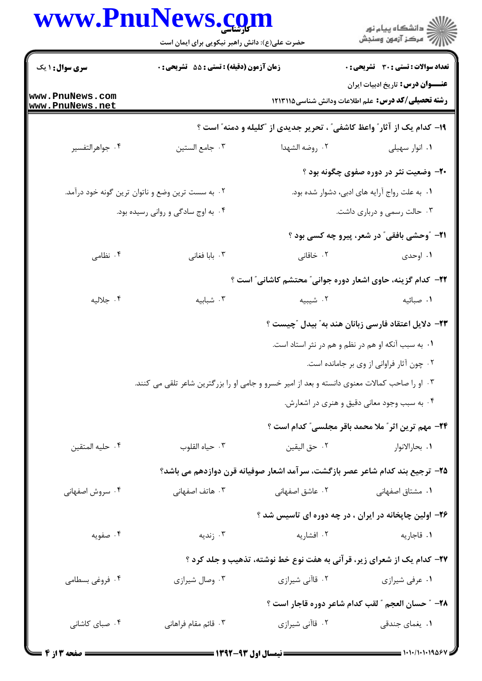|                                    | www.PnuNews.com<br>حضرت علی(ع): دانش راهبر نیکویی برای ایمان است                              |                 | ِ<br>∭ دانشڪاه پيام نور<br>∭ مرڪز آزمون وسنڊش                                                         |
|------------------------------------|-----------------------------------------------------------------------------------------------|-----------------|-------------------------------------------------------------------------------------------------------|
| <b>سری سوال : ۱ یک</b>             | زمان آزمون (دقيقه) : تستى : 55 تشريحى : 0                                                     |                 | تعداد سوالات : تستي : 30 - تشريحي : 0                                                                 |
| www.PnuNews.com<br>www.PnuNews.net |                                                                                               |                 | <b>عنــــوان درس:</b> تاریخ ادبیات ایران<br><b>رشته تحصیلی/کد درس:</b> علم اطلاعات ودانش شناسی1۲۱۱۹ ۱ |
|                                    |                                                                                               |                 | ۱۹- کدام یک از آثار ؒ واعظ کاشفی ؒ ، تحریر جدیدی از  ؓکلیله و دمنه ؒ است ؟                            |
| ۰۴ جواهرالتفسير                    | ٠٣ جامع الستين                                                                                | ۰۲ روضه الشهدا  | ۰۱ انوار سهيلي                                                                                        |
|                                    |                                                                                               |                 | ۲۰- وضعیت نثر در دوره صفوی چگونه بود ؟                                                                |
|                                    | ۰۲ به سست ترین وضع و ناتوان ترین گونه خود درآمد.                                              |                 | ۰۱ به علت رواج آرایه های ادبی، دشوار شده بود.                                                         |
|                                    | ۰۴ به اوج سادگی و روانی رسیده بود.                                                            |                 | ۰۳ حالت رسمی و درباری داشت.                                                                           |
|                                    |                                                                                               |                 | <b>۲۱-</b> "وحشی بافقی" در شعر، پیرو چه کسی بود ؟                                                     |
| ۰۴ نظامی                           | ۰۳ بابا فغانی                                                                                 | ۰۲ خاقانی       | ۰۱ اوحدی                                                                                              |
|                                    |                                                                                               |                 | <b>۲۲</b> – کدام گزینه، حاوی اشعار دوره جوانی ؒ محتشم کاشانی ؒ است ؟                                  |
| ۰۴ جلاليه                          | ۰۳ شبابیه                                                                                     | ۰۲ شیبیه        | ٠١ صبائيه                                                                                             |
|                                    |                                                                                               |                 | ۲۳– دلایل اعتقاد فارسی زبانان هند به" بیدل "چیست ؟                                                    |
|                                    |                                                                                               |                 | ۰۱ به سبب آنکه او هم در نظم و هم در نثر استاد است.                                                    |
|                                    |                                                                                               |                 | ٠٢ چون آثار فراواني از وي بر جامانده است.                                                             |
|                                    | ۰۳ او را صاحب کمالات معنوی دانسته و بعد از امیر خسرو و جامی او را بزرگترین شاعر تلقی می کنند. |                 |                                                                                                       |
|                                    |                                                                                               |                 | ۰۴ به سبب وجود معانی دقیق و هنری در اشعارش.                                                           |
|                                    |                                                                                               |                 | <b>۲۴</b> - مهم ترین اثر ً ملا محمد باقر مجلسی ً کدام است ؟                                           |
| ۰۴ حليه المتقين                    | ۰۳ حياه القلوب                                                                                | ٠٢ حق اليقين    | ۰۱ بحارالانوار                                                                                        |
|                                    |                                                                                               |                 | ۲۵– ترجیع بند کدام شاعر عصر بازگشت، سرآمد اشعار صوفیانه قرن دوازدهم می باشد؟                          |
| ۰۴ سروش اصفهانی                    | ۰۳ هاتف اصفهانی                                                                               | ۲۰ عاشق اصفهانی | ۰۱ مشتاق اصفهانی                                                                                      |
|                                    |                                                                                               |                 | ۲۶- اولین چاپخانه در ایران ، در چه دوره ای تاسیس شد ؟                                                 |
| ۰۴ صفویه                           | ۰۳ زندیه                                                                                      | ۰۲ افشاریه      | ۰۱ قاجاريه                                                                                            |
|                                    |                                                                                               |                 | ۲۷- کدام یک از شعرای زیر، قرآنی به هفت نوع خط نوشته، تذهیب و جلد کرد ؟                                |
| ۰۴ فروغی بسطامی                    | ۰۳ وصال شیرازی                                                                                | ۲. قاآنی شیرازی | ۰۱ عرفی شیرازی                                                                                        |
|                                    |                                                                                               |                 | 28- ″ حسان العجم ″ لقب كدام شاعر دوره قاجار است ؟                                                     |
| ۰۴ صبای کاشانی                     | ۰۳ قائم مقام فراهانی                                                                          | ۰۲ قاآنی شیرازی | ۰۱ یغمای جندق <sub>ی</sub>                                                                            |